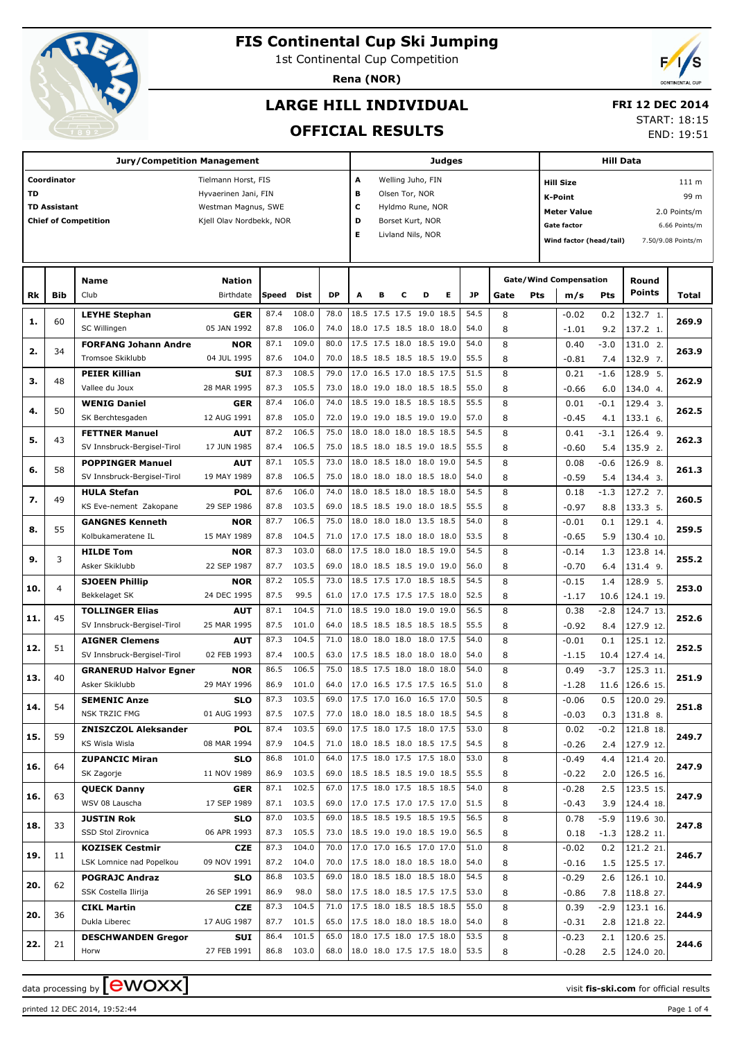

# **FIS Continental Cup Ski Jumping**

1st Continental Cup Competition

**Rena (NOR)**



## **LARGE HILL INDIVIDUAL**

### **FRI 12 DEC 2014**

### **OFFICIAL RESULTS**

START: 18:15

END: 19:51

|           |                     | Judges                       |                                       |       |            |           |                                           |                          |   | Hill Data         |      |      |       |                        |                               |        |               |                    |
|-----------|---------------------|------------------------------|---------------------------------------|-------|------------|-----------|-------------------------------------------|--------------------------|---|-------------------|------|------|-------|------------------------|-------------------------------|--------|---------------|--------------------|
|           | Coordinator         | А                            | Welling Juho, FIN<br><b>Hill Size</b> |       |            |           |                                           |                          |   |                   |      |      | 111 m |                        |                               |        |               |                    |
| <b>TD</b> |                     |                              | Hyvaerinen Jani, FIN                  |       |            |           | в<br>Olsen Tor, NOR                       |                          |   |                   |      |      |       | 99 m<br><b>K-Point</b> |                               |        |               |                    |
|           | <b>TD Assistant</b> |                              | Westman Magnus, SWE                   |       |            |           | с                                         |                          |   |                   |      |      |       | <b>Meter Value</b>     |                               |        |               |                    |
|           |                     | <b>Chief of Competition</b>  | Kjell Olav Nordbekk, NOR              |       |            |           | Hyldmo Rune, NOR<br>D<br>Borset Kurt, NOR |                          |   |                   |      |      |       |                        |                               |        |               | 2.0 Points/m       |
|           |                     |                              |                                       |       |            |           | Е                                         |                          |   | Livland Nils, NOR |      |      |       |                        | <b>Gate factor</b>            |        |               | 6.66 Points/m      |
|           |                     |                              |                                       |       |            |           |                                           |                          |   |                   |      |      |       |                        | Wind factor (head/tail)       |        |               | 7.50/9.08 Points/m |
|           |                     |                              |                                       |       |            |           |                                           |                          |   |                   |      |      |       |                        |                               |        |               |                    |
|           |                     | <b>Name</b>                  | <b>Nation</b>                         |       |            |           |                                           |                          |   |                   |      |      |       |                        | <b>Gate/Wind Compensation</b> |        | Round         |                    |
| Rk        | Bib                 | Club                         | Birthdate                             | Speed | Dist       | <b>DP</b> | A                                         | в                        | с | D                 | Е    | JP   | Gate  | Pts                    | m/s                           | Pts    | <b>Points</b> | Total              |
|           |                     |                              |                                       |       |            |           |                                           |                          |   |                   |      |      |       |                        |                               |        |               |                    |
| 1.        | 60                  | <b>LEYHE Stephan</b>         | <b>GER</b>                            | 87.4  | 108.0      | 78.0      |                                           | 18.5 17.5 17.5 19.0      |   |                   | 18.5 | 54.5 | 8     |                        | $-0.02$                       | 0.2    | 132.7 1.      | 269.9              |
|           |                     | SC Willingen                 | 05 JAN 1992                           | 87.8  | 106.0      | 74.0      |                                           | 18.0 17.5 18.5 18.0 18.0 |   |                   |      | 54.0 | 8     |                        | $-1.01$                       | 9.2    | 137.2 1.      |                    |
| 2.        | 34                  | <b>FORFANG Johann Andre</b>  | <b>NOR</b>                            | 87.1  | 109.0      | 80.0      |                                           | 17.5 17.5 18.0 18.5 19.0 |   |                   |      | 54.0 | 8     |                        | 0.40                          | $-3.0$ | 131.0 2.      | 263.9              |
|           |                     | Tromsoe Skiklubb             | 04 JUL 1995                           | 87.6  | 104.0      | 70.0      |                                           | 18.5 18.5 18.5 18.5 19.0 |   |                   |      | 55.5 | 8     |                        | $-0.81$                       | 7.4    | 132.9 7.      |                    |
| 3.        | 48                  | <b>PEIER Killian</b>         | <b>SUI</b>                            | 87.3  | 108.5      | 79.0      |                                           | 17.0 16.5 17.0 18.5 17.5 |   |                   |      | 51.5 | 8     |                        | 0.21                          | $-1.6$ | 128.9 5.      | 262.9              |
|           |                     | Vallee du Joux               | 28 MAR 1995                           | 87.3  | 105.5      | 73.0      |                                           | 18.0 19.0 18.0 18.5 18.5 |   |                   |      | 55.0 | 8     |                        | $-0.66$                       | 6.0    | 134.0 4.      |                    |
| 4.        | 50                  | <b>WENIG Daniel</b>          | <b>GER</b>                            | 87.4  | 106.0      | 74.0      |                                           | 18.5 19.0 18.5 18.5 18.5 |   |                   |      | 55.5 | 8     |                        | 0.01                          | -0.1   | 129.4 3.      | 262.5              |
|           |                     | SK Berchtesgaden             | 12 AUG 1991                           | 87.8  | 105.0      | 72.0      |                                           | 19.0 19.0 18.5 19.0 19.0 |   |                   |      | 57.0 | 8     |                        | $-0.45$                       | 4.1    | 133.1 6.      |                    |
| 5.        | 43                  | <b>FETTNER Manuel</b>        | AUT                                   | 87.2  | 106.5      | 75.0      | 18.0                                      | 18.0 18.0                |   | 18.5 18.5         |      | 54.5 | 8     |                        | 0.41                          | -3.1   | 126.4 9.      | 262.3              |
|           |                     | SV Innsbruck-Bergisel-Tirol  | 17 JUN 1985                           | 87.4  | 106.5      | 75.0      |                                           | 18.5 18.0 18.5 19.0 18.5 |   |                   |      | 55.5 | 8     |                        | $-0.60$                       | 5.4    | 135.9 2.      |                    |
| 6.        | 58                  | <b>POPPINGER Manuel</b>      | <b>AUT</b>                            | 87.1  | 105.5      | 73.0      | 18.0                                      | 18.5 18.0                |   | 18.0 19.0         |      | 54.5 | 8     |                        | 0.08                          | $-0.6$ | 126.9 8.      | 261.3              |
|           |                     | SV Innsbruck-Bergisel-Tirol  | 19 MAY 1989                           | 87.8  | 106.5      | 75.0      |                                           | 18.0 18.0 18.0 18.5 18.0 |   |                   |      | 54.0 | 8     |                        | $-0.59$                       | 5.4    | 134.4 3.      |                    |
| 7.        | 49                  | <b>HULA Stefan</b>           | <b>POL</b>                            | 87.6  | 106.0      | 74.0      | 18.0                                      | 18.5 18.0                |   | 18.5 18.0         |      | 54.5 | 8     |                        | 0.18                          | $-1.3$ | 127.2 7.      | 260.5              |
|           |                     | KS Eve-nement Zakopane       | 29 SEP 1986                           | 87.8  | 103.5      | 69.0      |                                           | 18.5 18.5 19.0 18.0 18.5 |   |                   |      | 55.5 | 8     |                        | $-0.97$                       | 8.8    | 133.3 5.      |                    |
| 8.        | 55                  | <b>GANGNES Kenneth</b>       | <b>NOR</b>                            | 87.7  | 106.5      | 75.0      | 18.0                                      | 18.0 18.0                |   | 13.5 18.5         |      | 54.0 | 8     |                        | $-0.01$                       | 0.1    | 129.1 4.      | 259.5              |
|           |                     | Kolbukameratene IL           | 15 MAY 1989                           | 87.8  | 104.5      | 71.0      |                                           | 17.0 17.5 18.0 18.0 18.0 |   |                   |      | 53.5 | 8     |                        | $-0.65$                       | 5.9    | 130.4 10.     |                    |
| 9.        | 3                   | <b>HILDE Tom</b>             | <b>NOR</b>                            | 87.3  | 103.0      | 68.0      |                                           | 17.5 18.0 18.0 18.5 19.0 |   |                   |      | 54.5 | 8     |                        | $-0.14$                       | 1.3    | 123.8 14.     | 255.2              |
|           |                     | Asker Skiklubb               | 22 SEP 1987                           | 87.7  | 103.5      | 69.0      |                                           | 18.0 18.5 18.5 19.0 19.0 |   |                   |      | 56.0 | 8     |                        | $-0.70$                       | 6.4    | 131.4 9.      |                    |
|           | 4                   | <b>SJOEEN Phillip</b>        | <b>NOR</b>                            | 87.2  | 105.5      | 73.0      |                                           | 18.5 17.5 17.0 18.5 18.5 |   |                   |      | 54.5 | 8     |                        | $-0.15$                       | 1.4    | 128.9 5.      | 253.0              |
| 10.       |                     | Bekkelaget SK                | 24 DEC 1995                           | 87.5  | 99.5       | 61.0      |                                           | 17.0 17.5 17.5 17.5 18.0 |   |                   |      | 52.5 | 8     |                        | $-1.17$                       | 10.6   | 124.1 19.     |                    |
| 11.       | 45                  | <b>TOLLINGER Elias</b>       | <b>AUT</b>                            | 87.1  | 104.5      | 71.0      |                                           | 18.5 19.0 18.0           |   | 19.0 19.0         |      | 56.5 | 8     |                        | 0.38                          | $-2.8$ | 124.7 13.     | 252.6              |
|           |                     | SV Innsbruck-Bergisel-Tirol  | 25 MAR 1995                           | 87.5  | 101.0      | 64.0      |                                           | 18.5 18.5 18.5 18.5 18.5 |   |                   |      | 55.5 | 8     |                        | $-0.92$                       | 8.4    | 127.9 12.     |                    |
| 12.       | 51                  | <b>AIGNER Clemens</b>        | <b>AUT</b>                            | 87.3  | 104.5      | 71.0      | 18.0                                      | 18.0 18.0                |   | 18.0 17.5         |      | 54.0 | 8     |                        | $-0.01$                       | 0.1    | 125.1 12.     | 252.5              |
|           |                     | SV Innsbruck-Bergisel-Tirol  | 02 FEB 1993                           | 87.4  | 100.5      | 63.0      |                                           | 17.5 18.5 18.0 18.0 18.0 |   |                   |      | 54.0 | 8     |                        | $-1.15$                       | 10.4   | 127.4 14.     |                    |
|           | 40                  | <b>GRANERUD Halvor Egner</b> | <b>NOR</b>                            | 86.5  | 106.5      | 75.0      |                                           | 18.5 17.5 18.0           |   | 18.0 18.0         |      | 54.0 | 8     |                        | 0.49                          | $-3.7$ | 125.3 11.     | 251.9              |
| 13.       |                     | Asker Skiklubb               | 29 MAY 1996                           | 86.9  | 101.0      | 64.0      |                                           | 17.0 16.5 17.5 17.5 16.5 |   |                   |      | 51.0 | 8     |                        | $-1.28$                       | 11.6   | 126.6 15.     |                    |
|           | 54                  | <b>SEMENIC Anze</b>          | <b>SLO</b>                            | 87.3  | 103.5      | 69.0      |                                           | 17.5 17.0 16.0 16.5 17.0 |   |                   |      | 50.5 | 8     |                        | $-0.06$                       | 0.5    | 120.0 29.     | 251.8              |
| 14.       |                     | <b>NSK TRZIC FMG</b>         | 01 AUG 1993                           | 87.5  | 107.5      | 77.0      |                                           | 18.0 18.0 18.5 18.0 18.5 |   |                   |      | 54.5 | 8     |                        | $-0.03$                       | 0.3    | 131.8 8.      |                    |
|           |                     | <b>ZNISZCZOL Aleksander</b>  | <b>POL</b>                            | 87.4  | 103.5      | 69.0      |                                           | 17.5 18.0 17.5 18.0 17.5 |   |                   |      | 53.0 | 8     |                        | 0.02                          | -0.2   | 121.8 18.     |                    |
| 15.       | 59                  | KS Wisla Wisla               | 08 MAR 1994                           | 87.9  | 104.5      | 71.0      |                                           | 18.0 18.5 18.0 18.5 17.5 |   |                   |      | 54.5 | 8     |                        | $-0.26$                       | 2.4    | 127.9 12.     | 249.7              |
|           |                     | <b>ZUPANCIC Miran</b>        | <b>SLO</b>                            | 86.8  | 101.0      | 64.0      |                                           | 17.5 18.0 17.5 17.5 18.0 |   |                   |      | 53.0 | 8     |                        | $-0.49$                       | 4.4    | 121.4 20.     |                    |
| 16.       | 64                  | SK Zagorje                   | 11 NOV 1989                           | 86.9  | 103.5      | 69.0      |                                           | 18.5 18.5 18.5 19.0 18.5 |   |                   |      | 55.5 | 8     |                        | $-0.22$                       | 2.0    | 126.5 16.     | 247.9              |
|           |                     | <b>QUECK Danny</b>           | <b>GER</b>                            |       | 87.1 102.5 | 67.0      |                                           | 17.5 18.0 17.5 18.5 18.5 |   |                   |      | 54.0 | 8     |                        | $-0.28$                       | 2.5    | 123.5 15.     |                    |
| 16.       | 63                  | WSV 08 Lauscha               | 17 SEP 1989                           |       | 87.1 103.5 | 69.0      |                                           | 17.0 17.5 17.0 17.5 17.0 |   |                   |      | 51.5 | 8     |                        | $-0.43$                       | 3.9    | 124.4 18.     | 247.9              |
|           |                     | <b>JUSTIN Rok</b>            | <b>SLO</b>                            | 87.0  | 103.5      | 69.0      |                                           | 18.5 18.5 19.5 18.5 19.5 |   |                   |      | 56.5 | 8     |                        | 0.78                          | $-5.9$ | 119.6 30.     |                    |
| 18.       | 33                  | SSD Stol Zirovnica           | 06 APR 1993                           | 87.3  | 105.5      | 73.0      |                                           | 18.5 19.0 19.0 18.5 19.0 |   |                   |      | 56.5 | 8     |                        | 0.18                          | $-1.3$ | 128.2 11.     | 247.8              |
|           |                     | <b>KOZISEK Cestmir</b>       | <b>CZE</b>                            | 87.3  | 104.0      | 70.0      |                                           | 17.0 17.0 16.5 17.0 17.0 |   |                   |      | 51.0 | 8     |                        | $-0.02$                       | 0.2    | 121.2 21.     |                    |
| 19.       | 11                  | LSK Lomnice nad Popelkou     | 09 NOV 1991                           | 87.2  | 104.0      | 70.0      |                                           | 17.5 18.0 18.0 18.5 18.0 |   |                   |      | 54.0 | 8     |                        | $-0.16$                       | 1.5    | 125.5 17.     | 246.7              |
|           |                     | <b>POGRAJC Andraz</b>        | <b>SLO</b>                            | 86.8  | 103.5      | 69.0      |                                           | 18.0 18.5 18.0 18.5 18.0 |   |                   |      | 54.5 | 8     |                        | $-0.29$                       | 2.6    | 126.1 10.     |                    |
| 20.       | 62                  | SSK Costella Ilirija         | 26 SEP 1991                           | 86.9  | 98.0       | 58.0      |                                           | 17.5 18.0 18.5 17.5 17.5 |   |                   |      | 53.0 | 8     |                        | $-0.86$                       | 7.8    | 118.8 27.     | 244.9              |
|           |                     | <b>CIKL Martin</b>           | <b>CZE</b>                            | 87.3  | 104.5      | 71.0      |                                           | 17.5 18.0 18.5 18.5 18.5 |   |                   |      | 55.0 | 8     |                        | 0.39                          | -2.9   | 123.1 16.     |                    |
| 20.       | 36                  | Dukla Liberec                | 17 AUG 1987                           | 87.7  | 101.5      | 65.0      |                                           | 17.5 18.0 18.0 18.5 18.0 |   |                   |      | 54.0 | 8     |                        | $-0.31$                       | 2.8    | 121.8 22.     | 244.9              |
|           |                     | <b>DESCHWANDEN Gregor</b>    | SUI                                   | 86.4  | 101.5      | 65.0      |                                           | 18.0 17.5 18.0 17.5 18.0 |   |                   |      | 53.5 | 8     |                        | $-0.23$                       | 2.1    | 120.6 25.     |                    |
| 22.       | 21                  | Horw                         | 27 FEB 1991                           | 86.8  | 103.0      | 68.0      |                                           | 18.0 18.0 17.5 17.5 18.0 |   |                   |      | 53.5 | 8     |                        | $-0.28$                       | 2.5    | 124.0 20.     | 244.6              |
|           |                     |                              |                                       |       |            |           |                                           |                          |   |                   |      |      |       |                        |                               |        |               |                    |

printed 12 DEC 2014, 19:52:44 Page 1 of 4

data processing by  $\boxed{\text{ewOX}}$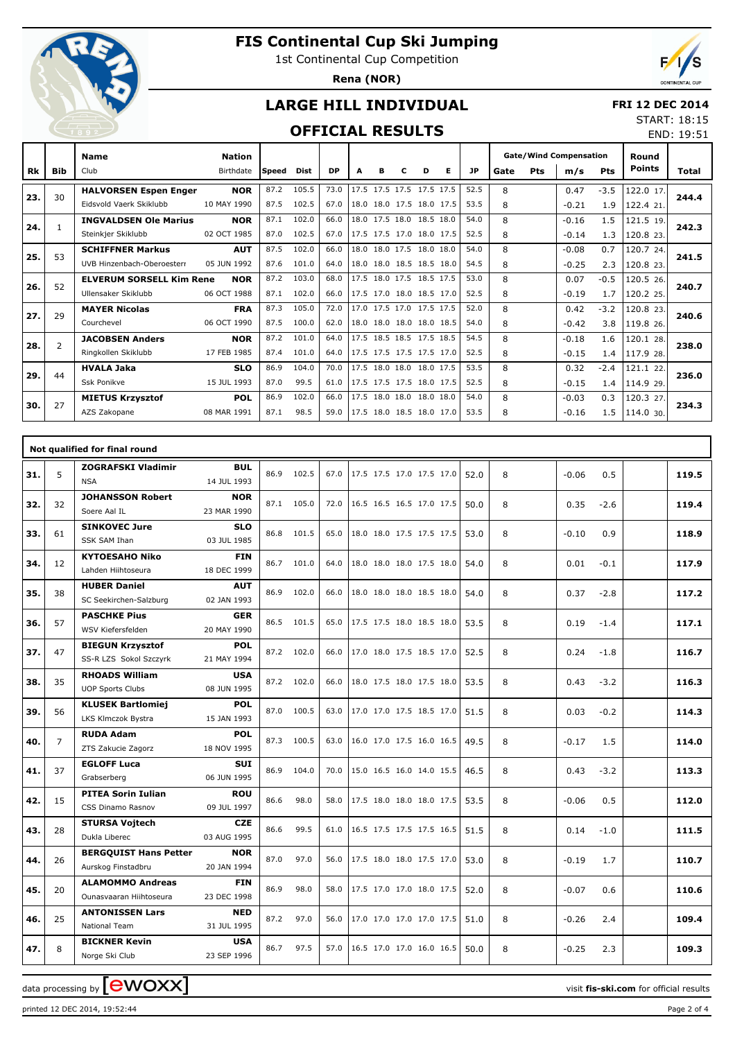

## **FIS Continental Cup Ski Jumping**

1st Continental Cup Competition

**Rena (NOR)**



## **LARGE HILL INDIVIDUAL**

#### **FRI 12 DEC 2014** START: 18:15

### **OFFICIAL RESULTS**

|           |                | <b>OFFICIAL RESULTS</b><br>$-1892$ |                            |       |             |           |      |   |                          |   |   |           |      |            |                                      |            |                        | END: 19:51 |
|-----------|----------------|------------------------------------|----------------------------|-------|-------------|-----------|------|---|--------------------------|---|---|-----------|------|------------|--------------------------------------|------------|------------------------|------------|
| <b>Rk</b> | Bib            | <b>Name</b><br>Club                | <b>Nation</b><br>Birthdate | Speed | <b>Dist</b> | <b>DP</b> | A    | в | C                        | D | Е | <b>JP</b> | Gate | <b>Pts</b> | <b>Gate/Wind Compensation</b><br>m/s | <b>Pts</b> | Round<br><b>Points</b> | Total      |
|           |                |                                    |                            |       |             |           |      |   |                          |   |   |           |      |            |                                      |            |                        |            |
| 23.       | 30             | <b>HALVORSEN Espen Enger</b>       | <b>NOR</b>                 | 87.2  | 105.5       | 73.0      |      |   | 17.5 17.5 17.5 17.5 17.5 |   |   | 52.5      | 8    |            | 0.47                                 | $-3.5$     | 122.0 17.              | 244.4      |
|           |                | Eidsvold Vaerk Skiklubb            | 10 MAY 1990                | 87.5  | 102.5       | 67.0      |      |   | 18.0 18.0 17.5 18.0 17.5 |   |   | 53.5      | 8    |            | $-0.21$                              | 1.9        | 122.4 21.              |            |
| 24.       | 1              | <b>INGVALDSEN Ole Marius</b>       | <b>NOR</b>                 | 87.1  | 102.0       | 66.0      |      |   | 18.0 17.5 18.0 18.5 18.0 |   |   | 54.0      | 8    |            | $-0.16$                              | 1.5        | 121.5 19.              | 242.3      |
|           |                | Steinkjer Skiklubb                 | 02 OCT 1985                | 87.0  | 102.5       | 67.0      |      |   | 17.5 17.5 17.0 18.0 17.5 |   |   | 52.5      | 8    |            | $-0.14$                              | 1.3        | 120.8 23.              |            |
|           |                | <b>SCHIFFNER Markus</b>            | <b>AUT</b>                 | 87.5  | 102.0       | 66.0      |      |   | 18.0 18.0 17.5 18.0 18.0 |   |   | 54.0      | 8    |            | $-0.08$                              | 0.7        | 120.7 24.              |            |
| 25.       | 53             | UVB Hinzenbach-Oberoesterr         | 05 JUN 1992                | 87.6  | 101.0       | 64.0      |      |   | 18.0 18.0 18.5 18.5 18.0 |   |   | 54.5      | 8    |            | $-0.25$                              | 2.3        | 120.8 23.              | 241.5      |
|           | 52             | <b>ELVERUM SORSELL Kim Rene</b>    | <b>NOR</b>                 | 87.2  | 103.0       | 68.0      |      |   | 17.5 18.0 17.5 18.5 17.5 |   |   | 53.0      | 8    |            | 0.07                                 | $-0.5$     | 120.5 26.              | 240.7      |
| 26.       |                | Ullensaker Skiklubb                | 06 OCT 1988                | 87.1  | 102.0       | 66.0      |      |   | 17.5 17.0 18.0 18.5 17.0 |   |   | 52.5      | 8    |            | $-0.19$                              | 1.7        | 120.2 25.              |            |
| 27.       | 29             | <b>MAYER Nicolas</b>               | <b>FRA</b>                 | 87.3  | 105.0       | 72.0      |      |   | 17.0 17.5 17.0 17.5 17.5 |   |   | 52.0      | 8    |            | 0.42                                 | $-3.2$     | 120.8 23.              | 240.6      |
|           |                | Courchevel                         | 06 OCT 1990                | 87.5  | 100.0       | 62.0      |      |   | 18.0 18.0 18.0 18.0 18.5 |   |   | 54.0      | 8    |            | $-0.42$                              | 3.8        | 119.8 26.              |            |
| 28.       | $\overline{2}$ | <b>JACOBSEN Anders</b>             | <b>NOR</b>                 | 87.2  | 101.0       | 64.0      |      |   | 17.5 18.5 18.5 17.5 18.5 |   |   | 54.5      | 8    |            | $-0.18$                              | 1.6        | 120.1 28.              | 238.0      |
|           |                | Ringkollen Skiklubb                | 17 FEB 1985                | 87.4  | 101.0       | 64.0      |      |   | 17.5 17.5 17.5 17.5 17.0 |   |   | 52.5      | 8    |            | $-0.15$                              | 1.4        | 117.9 28.              |            |
|           |                | <b>HVALA Jaka</b>                  | <b>SLO</b>                 | 86.9  | 104.0       | 70.0      |      |   | 17.5 18.0 18.0 18.0 17.5 |   |   | 53.5      | 8    |            | 0.32                                 | $-2.4$     | 121.1 22.              |            |
| 29.       | 44             | <b>Ssk Ponikve</b>                 | 15 JUL 1993                | 87.0  | 99.5        | 61.0      |      |   | 17.5 17.5 17.5 18.0 17.5 |   |   | 52.5      | 8    |            | $-0.15$                              | 1.4        | 114.9 29.              | 236.0      |
|           |                | <b>MIETUS Krzysztof</b>            | <b>POL</b>                 | 86.9  | 102.0       | 66.0      |      |   | 17.5 18.0 18.0 18.0 18.0 |   |   | 54.0      | 8    |            | $-0.03$                              | 0.3        | 120.3 27.              |            |
| 30.       | 27             | AZS Zakopane                       | 08 MAR 1991                | 87.1  | 98.5        | 59.0      | 17.5 |   | 18.0 18.5 18.0 17.0      |   |   | 53.5      | 8    |            | $-0.16$                              | 1.5        | 114.0 30.              | 234.3      |
|           |                |                                    |                            |       |             |           |      |   |                          |   |   |           |      |            |                                      |            |                        |            |

|     |    | Not qualified for final round                      |                           |      |            |      |                          |      |   |                |       |
|-----|----|----------------------------------------------------|---------------------------|------|------------|------|--------------------------|------|---|----------------|-------|
| 31. | 5  | <b>ZOGRAFSKI Vladimir</b><br><b>NSA</b>            | <b>BUL</b><br>14 JUL 1993 |      | 86.9 102.5 | 67.0 | 17.5 17.5 17.0 17.5 17.0 | 52.0 | 8 | 0.5<br>$-0.06$ | 119.5 |
| 32. | 32 | <b>JOHANSSON Robert</b><br>Soere Aal IL            | <b>NOR</b><br>23 MAR 1990 |      | 87.1 105.0 | 72.0 | 16.5 16.5 16.5 17.0 17.5 | 50.0 | 8 | 0.35<br>$-2.6$ | 119.4 |
| 33. | 61 | <b>SINKOVEC Jure</b><br>SSK SAM Ihan               | <b>SLO</b><br>03 JUL 1985 |      | 86.8 101.5 | 65.0 | 18.0 18.0 17.5 17.5 17.5 | 53.0 | 8 | 0.9<br>$-0.10$ | 118.9 |
| 34. | 12 | <b>KYTOESAHO Niko</b><br>Lahden Hiihtoseura        | <b>FIN</b><br>18 DEC 1999 |      | 86.7 101.0 | 64.0 | 18.0 18.0 18.0 17.5 18.0 | 54.0 | 8 | 0.01<br>$-0.1$ | 117.9 |
| 35. | 38 | <b>HUBER Daniel</b><br>SC Seekirchen-Salzburg      | <b>AUT</b><br>02 JAN 1993 | 86.9 | 102.0      | 66.0 | 18.0 18.0 18.0 18.5 18.0 | 54.0 | 8 | 0.37<br>$-2.8$ | 117.2 |
| 36. | 57 | <b>PASCHKE Pius</b><br>WSV Kiefersfelden           | <b>GER</b><br>20 MAY 1990 |      | 86.5 101.5 | 65.0 | 17.5 17.5 18.0 18.5 18.0 | 53.5 | 8 | 0.19<br>$-1.4$ | 117.1 |
| 37. | 47 | <b>BIEGUN Krzysztof</b><br>SS-R LZS Sokol Szczyrk  | <b>POL</b><br>21 MAY 1994 |      | 87.2 102.0 | 66.0 | 17.0 18.0 17.5 18.5 17.0 | 52.5 | 8 | 0.24<br>$-1.8$ | 116.7 |
| 38. | 35 | <b>RHOADS William</b><br><b>UOP Sports Clubs</b>   | <b>USA</b><br>08 JUN 1995 |      | 87.2 102.0 | 66.0 | 18.0 17.5 18.0 17.5 18.0 | 53.5 | 8 | 0.43<br>$-3.2$ | 116.3 |
| 39. | 56 | <b>KLUSEK Bartlomiej</b><br>LKS Klmczok Bystra     | <b>POL</b><br>15 JAN 1993 |      | 87.0 100.5 | 63.0 | 17.0 17.0 17.5 18.5 17.0 | 51.5 | 8 | 0.03<br>$-0.2$ | 114.3 |
| 40. | 7  | <b>RUDA Adam</b><br>ZTS Zakucie Zagorz             | <b>POL</b><br>18 NOV 1995 | 87.3 | 100.5      | 63.0 | 16.0 17.0 17.5 16.0 16.5 | 49.5 | 8 | $-0.17$<br>1.5 | 114.0 |
| 41. | 37 | <b>EGLOFF Luca</b><br>Grabserberg                  | <b>SUI</b><br>06 JUN 1995 | 86.9 | 104.0      | 70.0 | 15.0 16.5 16.0 14.0 15.5 | 46.5 | 8 | 0.43<br>$-3.2$ | 113.3 |
| 42. | 15 | <b>PITEA Sorin Iulian</b><br>CSS Dinamo Rasnov     | <b>ROU</b><br>09 JUL 1997 | 86.6 | 98.0       | 58.0 | 17.5 18.0 18.0 18.0 17.5 | 53.5 | 8 | 0.5<br>$-0.06$ | 112.0 |
| 43. | 28 | <b>STURSA Vojtech</b><br>Dukla Liberec             | <b>CZE</b><br>03 AUG 1995 | 86.6 | 99.5       | 61.0 | 16.5 17.5 17.5 17.5 16.5 | 51.5 | 8 | 0.14<br>$-1.0$ | 111.5 |
| 44. | 26 | <b>BERGQUIST Hans Petter</b><br>Aurskog Finstadbru | <b>NOR</b><br>20 JAN 1994 | 87.0 | 97.0       | 56.0 | 17.5 18.0 18.0 17.5 17.0 | 53.0 | 8 | $-0.19$<br>1.7 | 110.7 |
| 45. | 20 | <b>ALAMOMMO Andreas</b><br>Ounasyaaran Hiihtoseura | <b>FIN</b><br>23 DEC 1998 | 86.9 | 98.0       | 58.0 | 17.5 17.0 17.0 18.0 17.5 | 52.0 | 8 | $-0.07$<br>0.6 | 110.6 |
| 46. | 25 | <b>ANTONISSEN Lars</b><br><b>National Team</b>     | <b>NED</b><br>31 JUL 1995 | 87.2 | 97.0       | 56.0 | 17.0 17.0 17.0 17.0 17.5 | 51.0 | 8 | $-0.26$<br>2.4 | 109.4 |
| 47. | 8  | <b>BICKNER Kevin</b><br>Norge Ski Club             | <b>USA</b><br>23 SEP 1996 | 86.7 | 97.5       | 57.0 | 16.5 17.0 17.0 16.0 16.5 | 50.0 | 8 | $-0.25$<br>2.3 | 109.3 |

data processing by **CWOXX**  $\blacksquare$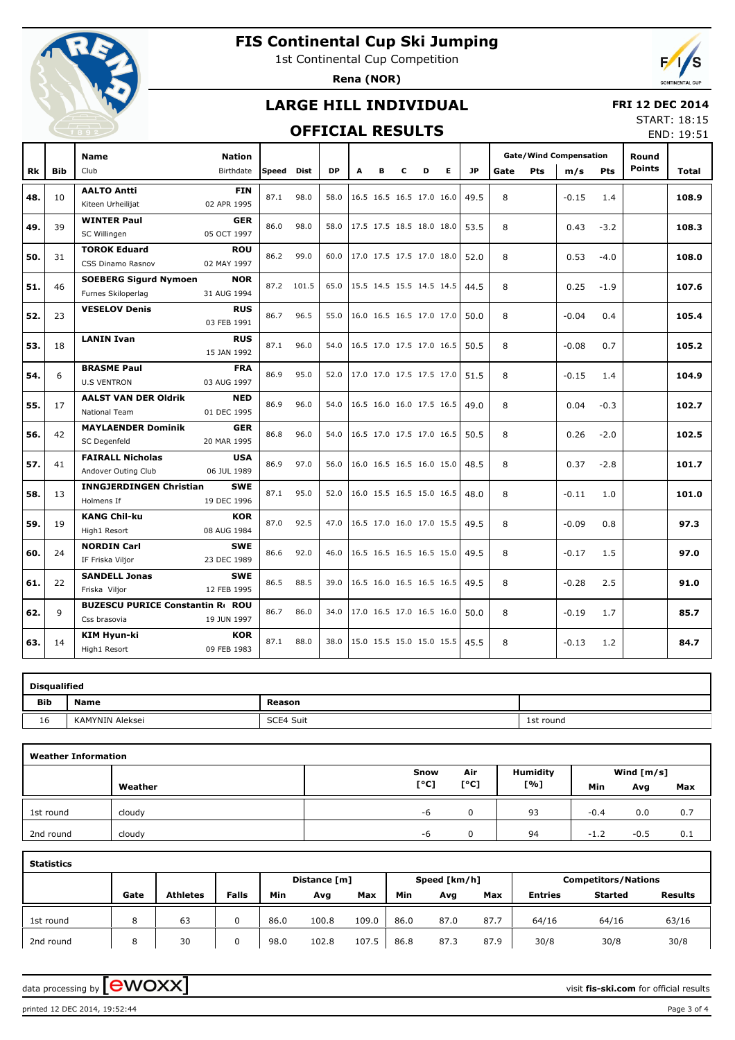

## **FIS Continental Cup Ski Jumping**

1st Continental Cup Competition

**Rena (NOR)**



### **LARGE HILL INDIVIDUAL**

#### **FRI 12 DEC 2014**

### **OFFICIAL RESULTS**

START: 18:15 END: 19:51

|     |            | <b>Name</b>                                             | <b>Nation</b>             |            |             |           |                          |   |   |   |   |           |      |            | <b>Gate/Wind Compensation</b> |        | Round         |       |
|-----|------------|---------------------------------------------------------|---------------------------|------------|-------------|-----------|--------------------------|---|---|---|---|-----------|------|------------|-------------------------------|--------|---------------|-------|
| Rk  | <b>Bib</b> | Club                                                    | Birthdate                 | Speed      | <b>Dist</b> | <b>DP</b> | A                        | в | c | D | E | <b>JP</b> | Gate | <b>Pts</b> | m/s                           | Pts    | <b>Points</b> | Total |
| 48. | 10         | <b>AALTO Antti</b><br>Kiteen Urheilijat                 | <b>FIN</b><br>02 APR 1995 | 87.1       | 98.0        | 58.0      | 16.5 16.5 16.5 17.0 16.0 |   |   |   |   | 49.5      | 8    |            | $-0.15$                       | 1.4    |               | 108.9 |
| 49. | 39         | <b>WINTER Paul</b><br>SC Willingen                      | <b>GER</b><br>05 OCT 1997 | 86.0       | 98.0        | 58.0      | 17.5 17.5 18.5 18.0 18.0 |   |   |   |   | 53.5      | 8    |            | 0.43                          | $-3.2$ |               | 108.3 |
| 50. | 31         | <b>TOROK Eduard</b><br>CSS Dinamo Rasnov                | <b>ROU</b><br>02 MAY 1997 | 86.2       | 99.0        | 60.0      | 17.0 17.5 17.5 17.0 18.0 |   |   |   |   | 52.0      | 8    |            | 0.53                          | $-4.0$ |               | 108.0 |
| 51. | 46         | <b>SOEBERG Sigurd Nymoen</b><br>Furnes Skiloperlag      | <b>NOR</b><br>31 AUG 1994 | 87.2 101.5 |             | 65.0      | 15.5 14.5 15.5 14.5 14.5 |   |   |   |   | 44.5      | 8    |            | 0.25                          | $-1.9$ |               | 107.6 |
| 52. | 23         | <b>VESELOV Denis</b>                                    | <b>RUS</b><br>03 FEB 1991 | 86.7       | 96.5        | 55.0      | 16.0 16.5 16.5 17.0 17.0 |   |   |   |   | 50.0      | 8    |            | $-0.04$                       | 0.4    |               | 105.4 |
| 53. | 18         | <b>LANIN Ivan</b>                                       | <b>RUS</b><br>15 JAN 1992 | 87.1       | 96.0        | 54.0      | 16.5 17.0 17.5 17.0 16.5 |   |   |   |   | 50.5      | 8    |            | $-0.08$                       | 0.7    |               | 105.2 |
| 54. | 6          | <b>BRASME Paul</b><br><b>U.S VENTRON</b>                | <b>FRA</b><br>03 AUG 1997 | 86.9       | 95.0        | 52.0      | 17.0 17.0 17.5 17.5 17.0 |   |   |   |   | 51.5      | 8    |            | $-0.15$                       | 1.4    |               | 104.9 |
| 55. | 17         | <b>AALST VAN DER Oldrik</b><br><b>National Team</b>     | <b>NED</b><br>01 DEC 1995 | 86.9       | 96.0        | 54.0      | 16.5 16.0 16.0 17.5 16.5 |   |   |   |   | 49.0      | 8    |            | 0.04                          | $-0.3$ |               | 102.7 |
| 56. | 42         | <b>MAYLAENDER Dominik</b><br>SC Degenfeld               | <b>GER</b><br>20 MAR 1995 | 86.8       | 96.0        | 54.0      | 16.5 17.0 17.5 17.0 16.5 |   |   |   |   | 50.5      | 8    |            | 0.26                          | $-2.0$ |               | 102.5 |
| 57. | 41         | <b>FAIRALL Nicholas</b><br>Andover Outing Club          | <b>USA</b><br>06 JUL 1989 | 86.9       | 97.0        | 56.0      | 16.0 16.5 16.5 16.0 15.0 |   |   |   |   | 48.5      | 8    |            | 0.37                          | $-2.8$ |               | 101.7 |
| 58. | 13         | <b>INNGJERDINGEN Christian</b><br>Holmens If            | <b>SWE</b><br>19 DEC 1996 | 87.1       | 95.0        | 52.0      | 16.0 15.5 16.5 15.0 16.5 |   |   |   |   | 48.0      | 8    |            | $-0.11$                       | 1.0    |               | 101.0 |
| 59. | 19         | <b>KANG Chil-ku</b><br>High1 Resort                     | <b>KOR</b><br>08 AUG 1984 | 87.0       | 92.5        | 47.0      | 16.5 17.0 16.0 17.0 15.5 |   |   |   |   | 49.5      | 8    |            | $-0.09$                       | 0.8    |               | 97.3  |
| 60. | 24         | <b>NORDIN Carl</b><br>IF Friska Viljor                  | <b>SWE</b><br>23 DEC 1989 | 86.6       | 92.0        | 46.0      | 16.5 16.5 16.5 16.5 15.0 |   |   |   |   | 49.5      | 8    |            | $-0.17$                       | 1.5    |               | 97.0  |
| 61. | 22         | <b>SANDELL Jonas</b><br>Friska Viljor                   | <b>SWE</b><br>12 FEB 1995 | 86.5       | 88.5        | 39.0      | 16.5 16.0 16.5 16.5 16.5 |   |   |   |   | 49.5      | 8    |            | $-0.28$                       | 2.5    |               | 91.0  |
| 62. | 9          | <b>BUZESCU PURICE Constantin Rt ROU</b><br>Css brasovia | 19 JUN 1997               | 86.7       | 86.0        | 34.0      | 17.0 16.5 17.0 16.5 16.0 |   |   |   |   | 50.0      | 8    |            | $-0.19$                       | 1.7    |               | 85.7  |
| 63. | 14         | KIM Hyun-ki<br>High1 Resort                             | <b>KOR</b><br>09 FEB 1983 | 87.1       | 88.0        | 38.0      | 15.0 15.5 15.0 15.0 15.5 |   |   |   |   | 45.5      | 8    |            | $-0.13$                       | 1.2    |               | 84.7  |

|            | <b>Disqualified</b> |           |           |  |  |  |  |  |  |  |  |  |  |
|------------|---------------------|-----------|-----------|--|--|--|--|--|--|--|--|--|--|
| <b>Bib</b> | <b>Name</b>         | Reason    |           |  |  |  |  |  |  |  |  |  |  |
| 16         | KAMYNIN Aleksei     | SCE4 Suit | 1st round |  |  |  |  |  |  |  |  |  |  |

|           | <b>Weather Information</b> |      |          |                 |        |              |     |  |  |  |  |  |  |  |  |
|-----------|----------------------------|------|----------|-----------------|--------|--------------|-----|--|--|--|--|--|--|--|--|
|           |                            | Snow | Air      | <b>Humidity</b> |        | Wind $[m/s]$ |     |  |  |  |  |  |  |  |  |
|           | Weather                    | [°C] | [°C]     | [%]             | Min    | Avg          | Max |  |  |  |  |  |  |  |  |
| 1st round | cloudy                     | -6   | 0        | 93              | $-0.4$ | 0.0          | 0.7 |  |  |  |  |  |  |  |  |
| 2nd round | cloudy                     | -6   | $\Omega$ | 94              | $-1.2$ | $-0.5$       | 0.1 |  |  |  |  |  |  |  |  |

| <b>Statistics</b> |      |                 |              |      |              |       |      |              |      |                            |                |                |  |  |
|-------------------|------|-----------------|--------------|------|--------------|-------|------|--------------|------|----------------------------|----------------|----------------|--|--|
|                   |      |                 |              |      | Distance [m] |       |      | Speed [km/h] |      | <b>Competitors/Nations</b> |                |                |  |  |
|                   | Gate | <b>Athletes</b> | <b>Falls</b> | Min  | Avg          | Max   | Min  | Avg          | Max  | <b>Entries</b>             | <b>Started</b> | <b>Results</b> |  |  |
| 1st round         | 8    | 63              |              | 86.0 | 100.8        | 109.0 | 86.0 | 87.0         | 87.7 | 64/16                      | 64/16          | 63/16          |  |  |
| 2nd round         | 8    | 30              |              | 98.0 | 102.8        | 107.5 | 86.8 | 87.3         | 87.9 | 30/8                       | 30/8           | 30/8           |  |  |

data processing by **CWOXX**  $\blacksquare$